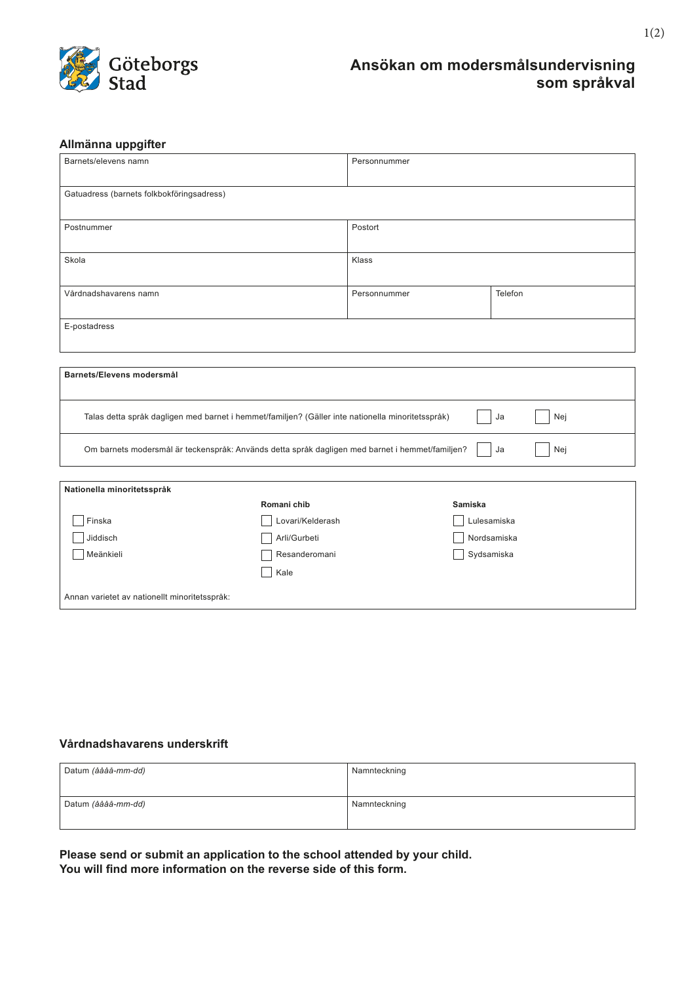

## **Ansökan om modersmålsundervisning som språkval**

### **Allmänna uppgifter**

| Barnets/elevens namn                                                                                           |                  | Personnummer |                |  |
|----------------------------------------------------------------------------------------------------------------|------------------|--------------|----------------|--|
| Gatuadress (barnets folkbokföringsadress)                                                                      |                  |              |                |  |
| Postnummer                                                                                                     |                  | Postort      |                |  |
| Skola                                                                                                          |                  | Klass        |                |  |
| Vårdnadshavarens namn                                                                                          |                  | Personnummer | Telefon        |  |
| E-postadress                                                                                                   |                  |              |                |  |
|                                                                                                                |                  |              |                |  |
| Barnets/Elevens modersmål                                                                                      |                  |              |                |  |
| Talas detta språk dagligen med barnet i hemmet/familjen? (Gäller inte nationella minoritetsspråk)<br>Ja<br>Nej |                  |              |                |  |
| Om barnets modersmål är teckenspråk: Används detta språk dagligen med barnet i hemmet/familjen?<br>Nej<br>Ja   |                  |              |                |  |
|                                                                                                                |                  |              |                |  |
| Nationella minoritetsspråk                                                                                     |                  |              |                |  |
|                                                                                                                | Romani chib      |              | <b>Samiska</b> |  |
| Finska                                                                                                         | Lovari/Kelderash |              | Lulesamiska    |  |
| Jiddisch                                                                                                       | Arli/Gurbeti     |              | Nordsamiska    |  |
| Meänkieli<br>Sydsamiska<br>Resanderomani<br>Kale                                                               |                  |              |                |  |
| Annan varietet av nationellt minoritetsspråk:                                                                  |                  |              |                |  |

#### **Vårdnadshavarens underskrift**

| Datum <i>(åååå-mm-dd)</i> | Namnteckning |
|---------------------------|--------------|
|                           |              |
| Datum <i>(åååå-mm-dd)</i> | Namnteckning |
|                           |              |

**Please send or submit an application to the school attended by your child. You will find more information on the reverse side of this form.**